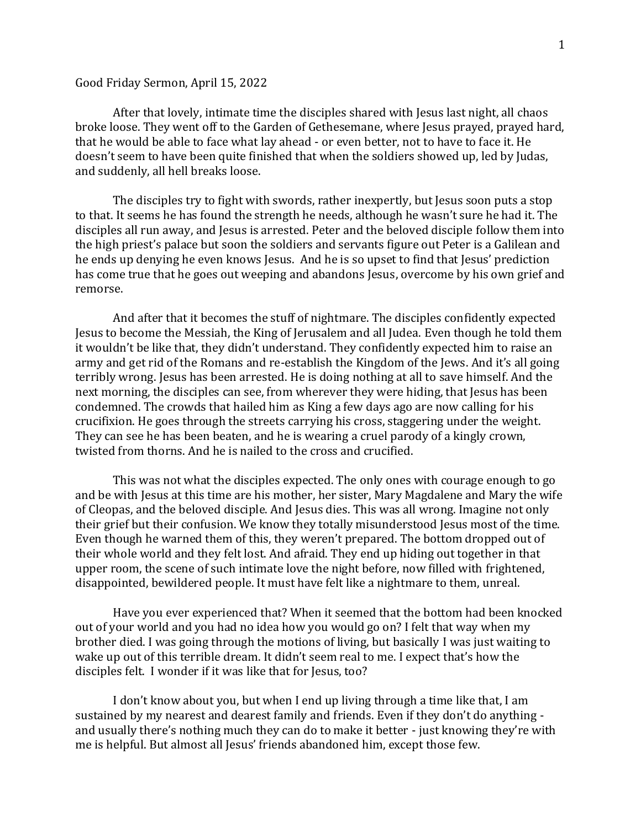## Good Friday Sermon, April 15, 2022

After that lovely, intimate time the disciples shared with Jesus last night, all chaos broke loose. They went off to the Garden of Gethesemane, where Jesus prayed, prayed hard, that he would be able to face what lay ahead - or even better, not to have to face it. He doesn't seem to have been quite finished that when the soldiers showed up, led by Judas, and suddenly, all hell breaks loose.

The disciples try to fight with swords, rather inexpertly, but Jesus soon puts a stop to that. It seems he has found the strength he needs, although he wasn't sure he had it. The disciples all run away, and Jesus is arrested. Peter and the beloved disciple follow them into the high priest's palace but soon the soldiers and servants figure out Peter is a Galilean and he ends up denying he even knows Jesus. And he is so upset to find that Jesus' prediction has come true that he goes out weeping and abandons Jesus, overcome by his own grief and remorse.

And after that it becomes the stuff of nightmare. The disciples confidently expected Jesus to become the Messiah, the King of Jerusalem and all Judea. Even though he told them it wouldn't be like that, they didn't understand. They confidently expected him to raise an army and get rid of the Romans and re-establish the Kingdom of the Jews. And it's all going terribly wrong. Jesus has been arrested. He is doing nothing at all to save himself. And the next morning, the disciples can see, from wherever they were hiding, that Jesus has been condemned. The crowds that hailed him as King a few days ago are now calling for his crucifixion. He goes through the streets carrying his cross, staggering under the weight. They can see he has been beaten, and he is wearing a cruel parody of a kingly crown, twisted from thorns. And he is nailed to the cross and crucified.

This was not what the disciples expected. The only ones with courage enough to go and be with Jesus at this time are his mother, her sister, Mary Magdalene and Mary the wife of Cleopas, and the beloved disciple. And Jesus dies. This was all wrong. Imagine not only their grief but their confusion. We know they totally misunderstood Jesus most of the time. Even though he warned them of this, they weren't prepared. The bottom dropped out of their whole world and they felt lost. And afraid. They end up hiding out together in that upper room, the scene of such intimate love the night before, now filled with frightened, disappointed, bewildered people. It must have felt like a nightmare to them, unreal.

Have you ever experienced that? When it seemed that the bottom had been knocked out of your world and you had no idea how you would go on? I felt that way when my brother died. I was going through the motions of living, but basically I was just waiting to wake up out of this terrible dream. It didn't seem real to me. I expect that's how the disciples felt. I wonder if it was like that for Jesus, too?

I don't know about you, but when I end up living through a time like that, I am sustained by my nearest and dearest family and friends. Even if they don't do anything and usually there's nothing much they can do to make it better - just knowing they're with me is helpful. But almost all Jesus' friends abandoned him, except those few.